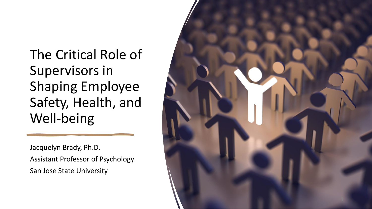The Critical Role of Supervisors in Shaping Employee Safety, Health, and Well -being

Jacquelyn Brady, Ph.D. Assistant Professor of Psychology San Jose State University

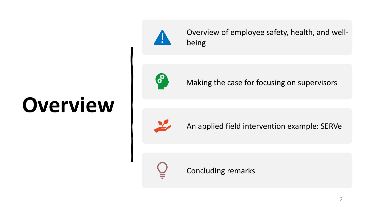# **Overview**



Overview of employee safety, health, and wellbeing



Making the case for focusing on supervisors



An applied field intervention example: SERVe



Concluding remarks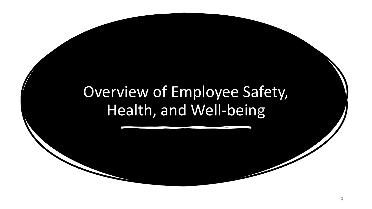### Overview of Employee Safety, Health, and Well-being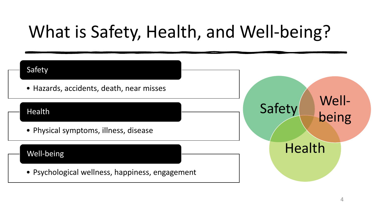## What is Safety, Health, and Well-being?

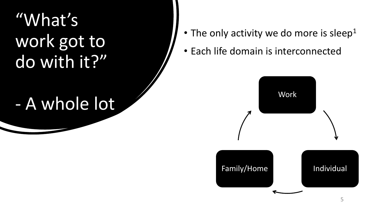"What's work got to do with it?"

### - A whole lot

- The only activity we do more is sleep<sup>1</sup>
- Each life domain is interconnected

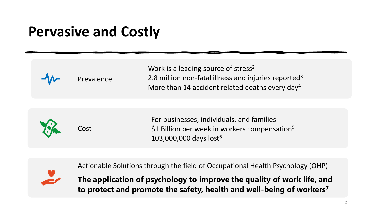### **Pervasive and Costly**

| Prevalence | Work is a leading source of stress <sup>2</sup><br>2.8 million non-fatal illness and injuries reported <sup>3</sup><br>More than 14 accident related deaths every day <sup>4</sup> |
|------------|------------------------------------------------------------------------------------------------------------------------------------------------------------------------------------|
| Cost       | For businesses, individuals, and families<br>\$1 Billion per week in workers compensation <sup>5</sup><br>103,000,000 days lost <sup>6</sup>                                       |



Actionable Solutions through the field of Occupational Health Psychology (OHP)

**The application of psychology to improve the quality of work life, and to protect and promote the safety, health and well-being of workers<sup>7</sup>**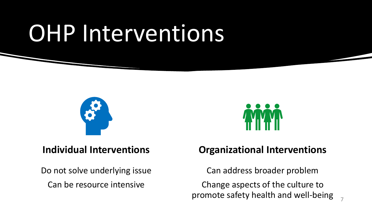# OHP Interventions



#### **Individual Interventions**

Do not solve underlying issue Can be resource intensive



#### **Organizational Interventions**

Can address broader problem Change aspects of the culture to promote safety health and well-being 7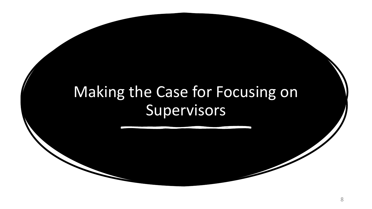### Making the Case for Focusing on **Supervisors**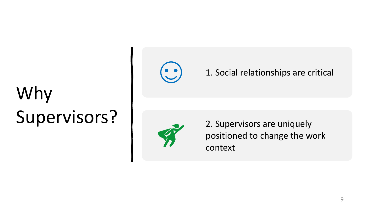# Why Supervisors?



#### 1. Social relationships are critical



2. Supervisors are uniquely positioned to change the work context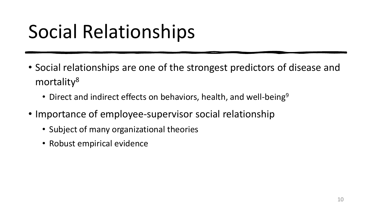# Social Relationships

- Social relationships are one of the strongest predictors of disease and mortality<sup>8</sup>
	- Direct and indirect effects on behaviors, health, and well-being<sup>9</sup>
- Importance of employee-supervisor social relationship
	- Subject of many organizational theories
	- Robust empirical evidence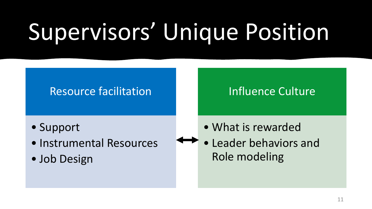# Supervisors' Unique Position

#### Resource facilitation

- Support
- Instrumental Resources
- Job Design

#### Influence Culture

- What is rewarded
- Leader behaviors and Role modeling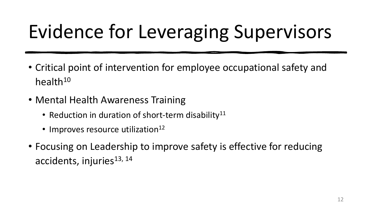# Evidence for Leveraging Supervisors

- Critical point of intervention for employee occupational safety and health $10$
- Mental Health Awareness Training
	- Reduction in duration of short-term disability<sup>11</sup>
	- $\cdot$  Improves resource utilization<sup>12</sup>
- Focusing on Leadership to improve safety is effective for reducing accidents, injuries<sup>13, 14</sup>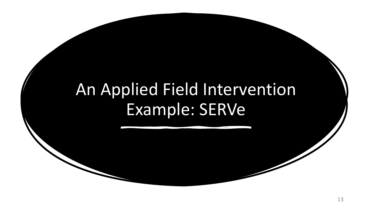### An Applied Field Intervention Example: SERVe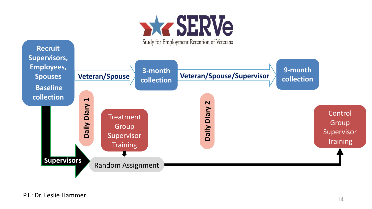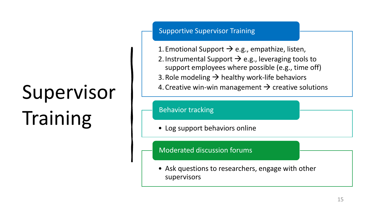# Supervisor Training

Supportive Supervisor Training

- 1. Emotional Support  $\rightarrow$  e.g., empathize, listen,
- 2. Instrumental Support  $\rightarrow$  e.g., leveraging tools to support employees where possible (e.g., time off)
- 3. Role modeling  $\rightarrow$  healthy work-life behaviors
- 4. Creative win-win management  $\rightarrow$  creative solutions

Behavior tracking

• Log support behaviors online

Moderated discussion forums

• Ask questions to researchers, engage with other supervisors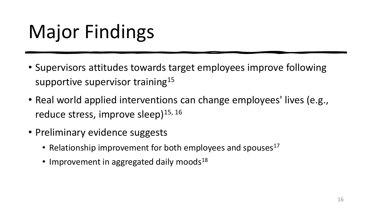# Major Findings

- Supervisors attitudes towards target employees improve following supportive supervisor training<sup>15</sup>
- Real world applied interventions can change employees' lives (e.g., reduce stress, improve sleep)<sup>15, 16</sup>
- Preliminary evidence suggests
	- Relationship improvement for both employees and spouses<sup>17</sup>
	- Improvement in aggregated daily moods<sup>18</sup>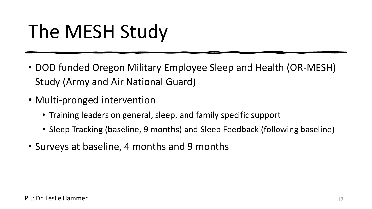## The MESH Study

- DOD funded Oregon Military Employee Sleep and Health (OR-MESH) Study (Army and Air National Guard)
- Multi-pronged intervention
	- Training leaders on general, sleep, and family specific support
	- Sleep Tracking (baseline, 9 months) and Sleep Feedback (following baseline)
- Surveys at baseline, 4 months and 9 months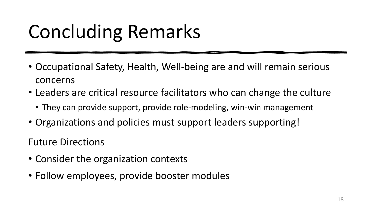# Concluding Remarks

- Occupational Safety, Health, Well-being are and will remain serious concerns
- Leaders are critical resource facilitators who can change the culture
	- They can provide support, provide role-modeling, win-win management
- Organizations and policies must support leaders supporting!

Future Directions

- Consider the organization contexts
- Follow employees, provide booster modules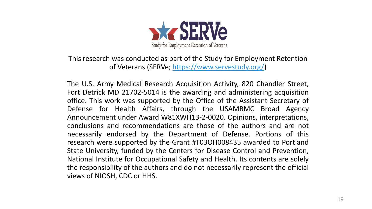

This research was conducted as part of the Study for Employment Retention of Veterans (SERVe; [https://www.servestudy.org/\)](https://www.servestudy.org/)

The U.S. Army Medical Research Acquisition Activity, 820 Chandler Street, Fort Detrick MD 21702-5014 is the awarding and administering acquisition office. This work was supported by the Office of the Assistant Secretary of Defense for Health Affairs, through the USAMRMC Broad Agency Announcement under Award W81XWH13-2-0020. Opinions, interpretations, conclusions and recommendations are those of the authors and are not necessarily endorsed by the Department of Defense. Portions of this research were supported by the Grant #T03OH008435 awarded to Portland State University, funded by the Centers for Disease Control and Prevention, National Institute for Occupational Safety and Health. Its contents are solely the responsibility of the authors and do not necessarily represent the official views of NIOSH, CDC or HHS.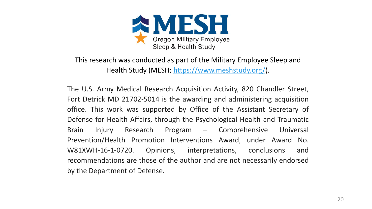

This research was conducted as part of the Military Employee Sleep and Health Study (MESH; [https://www.meshstudy.org/\)](https://www.meshstudy.org/).

The U.S. Army Medical Research Acquisition Activity, 820 Chandler Street, Fort Detrick MD 21702-5014 is the awarding and administering acquisition office. This work was supported by Office of the Assistant Secretary of Defense for Health Affairs, through the Psychological Health and Traumatic Brain Injury Research Program – Comprehensive Universal Prevention/Health Promotion Interventions Award, under Award No. W81XWH-16-1-0720. Opinions, interpretations, conclusions and recommendations are those of the author and are not necessarily endorsed by the Department of Defense.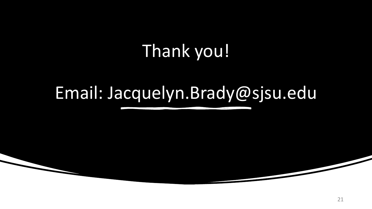## Thank you!

### Email: Jacquelyn.Brady@sjsu.edu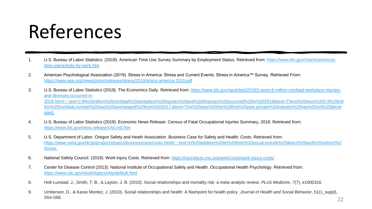## References

- 1. [U.S. Bureau of Labor Statistics. \(2019\). American Time Use Survey Summary by Employment Status. Retrieved from: https://www.bls.gov/charts/american](https://www.bls.gov/charts/american-time-use/activity-by-work.htm)time-use/activity-by-work.htm
- 2. American Psychological Association (2019). Stress in America: Stress and Current Events. Stress in America™ Survey. Retrieved From: <https://www.apa.org/news/press/releases/stress/2019/stress-america-2019.pdf>
- 3. U.S. Bureau of Labor Statistics (2019). The Economics Daily. Retrieved from: https://www.bls.gov/opub/ted/2019/2-point-8-million-nonfatal-workplace-injuriesand-illnesses-occurred-in-[2018.htm#:~:text=2.8%20million%20nonfatal%20workplace%20injuries%20and%20illnesses%20occurred%20in%202018&text=There%20were%202.8%20mil](https://www.bls.gov/opub/ted/2019/2-point-8-million-nonfatal-workplace-injuries-and-illnesses-occurred-in-2018.htm#:~:text=2.8%20million%20nonfatal%20workplace%20injuries%20and%20illnesses%20occurred%20in%202018&text=There%20were%202.8%20million%20nonfatal,number%20was%20unchanged%20from%202017.&text=This%20was%20the%20first%20year,private%20industry%20has%20not%20decreased.) lion%20nonfatal,number%20was%20unchanged%20from%202017.&text=This%20was%20the%20first%20year,private%20industry%20has%20not%20decre ased.
- 4. U.S. Bureau of Labor Statistics (2019). Economic News Release: Census of Fatal Occupational Injuries Summary, 2018. Retrieved from: <https://www.bls.gov/news.release/cfoi.nr0.htm>
- 5. U.S. Department of Labor. Oregon Safety and Heath Association. Business Case for Safety and Health: Costs. Retrieved from: [https://www.osha.gov/dcsp/products/topics/businesscase/costs.html#:~:text=In%20addition%20to%20their%20social,include%20direct%20and%20indirect%2](https://www.osha.gov/dcsp/products/topics/businesscase/costs.html#:~:text=In%20addition%20to%20their%20social,include%20direct%20and%20indirect%20costs.) 0costs.
- 6. National Safety Council. (2019). Work Injury Costs. Retrieved from: <https://injuryfacts.nsc.org/work/costs/work-injury-costs/>
- 7. Center for Disease Control (2013). National Institute of Occupational Safety and Health. Occupational Health Psychology. Retrieved from: <https://www.cdc.gov/niosh/topics/ohp/default.html>
- 8. Holt-Lunstad, J., Smith, T. B., & Layton, J. B. (2010). Social relationships and mortality risk: a meta-analytic review. *PLoS Medicine*, *7*(7), e1000316.
- 9. Umberson, D., & Karas Montez, J. (2010). Social relationships and health: A flashpoint for health policy. *Journal of Health and Social Behavior*, *51*(1\_suppl),  $S54-S66.$  22